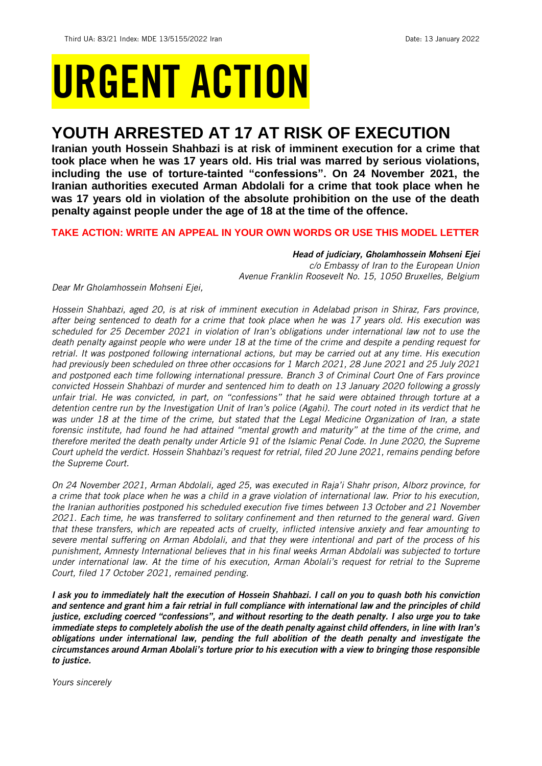# URGENT ACTION

## **YOUTH ARRESTED AT 17 AT RISK OF EXECUTION**

**Iranian youth Hossein Shahbazi is at risk of imminent execution for a crime that took place when he was 17 years old. His trial was marred by serious violations, including the use of torture-tainted "confessions". On 24 November 2021, the Iranian authorities executed Arman Abdolali for a crime that took place when he was 17 years old in violation of the absolute prohibition on the use of the death penalty against people under the age of 18 at the time of the offence.** 

## **TAKE ACTION: WRITE AN APPEAL IN YOUR OWN WORDS OR USE THIS MODEL LETTER**

*Head of judiciary, Gholamhossein Mohseni Ejei c/o Embassy of Iran to the European Union Avenue Franklin Roosevelt No. 15, 1050 Bruxelles, Belgium*

*Dear Mr Gholamhossein Mohseni Ejei,* 

*Hossein Shahbazi, aged 20, is at risk of imminent execution in Adelabad prison in Shiraz, Fars province, after being sentenced to death for a crime that took place when he was 17 years old. His execution was scheduled for 25 December 2021 in violation of Iran's obligations under international law not to use the death penalty against people who were under 18 at the time of the crime and despite a pending request for retrial. It was postponed following international actions, but may be carried out at any time. His execution had previously been scheduled on three other occasions for 1 March 2021, 28 June 2021 and 25 July 2021 and postponed each time following international pressure. Branch 3 of Criminal Court One of Fars province convicted Hossein Shahbazi of murder and sentenced him to death on 13 January 2020 following a grossly unfair trial. He was convicted, in part, on "confessions" that he said were obtained through torture at a detention centre run by the Investigation Unit of Iran's police (Agahi). The court noted in its verdict that he was under 18 at the time of the crime, but stated that the Legal Medicine Organization of Iran, a state forensic institute, had found he had attained "mental growth and maturity" at the time of the crime, and therefore merited the death penalty under Article 91 of the Islamic Penal Code. In June 2020, the Supreme Court upheld the verdict. Hossein Shahbazi's request for retrial, filed 20 June 2021, remains pending before the Supreme Court.*

*On 24 November 2021, Arman Abdolali, aged 25, was executed in Raja'i Shahr prison, Alborz province, for a crime that took place when he was a child in a grave violation of international law. Prior to his execution, the Iranian authorities postponed his scheduled execution five times between 13 October and 21 November 2021. Each time, he was transferred to solitary confinement and then returned to the general ward. Given that these transfers, which are repeated acts of cruelty, inflicted intensive anxiety and fear amounting to severe mental suffering on Arman Abdolali, and that they were intentional and part of the process of his punishment, Amnesty International believes that in his final weeks Arman Abdolali was subjected to torture under international law. At the time of his execution, Arman Abolali's request for retrial to the Supreme Court, filed 17 October 2021, remained pending.* 

*I ask you to immediately halt the execution of Hossein Shahbazi. I call on you to quash both his conviction and sentence and grant him a fair retrial in full compliance with international law and the principles of child justice, excluding coerced "confessions", and without resorting to the death penalty. I also urge you to take immediate steps to completely abolish the use of the death penalty against child offenders, in line with Iran's obligations under international law, pending the full abolition of the death penalty and investigate the circumstances around Arman Abolali's torture prior to his execution with a view to bringing those responsible to justice.*

*Yours sincerely*